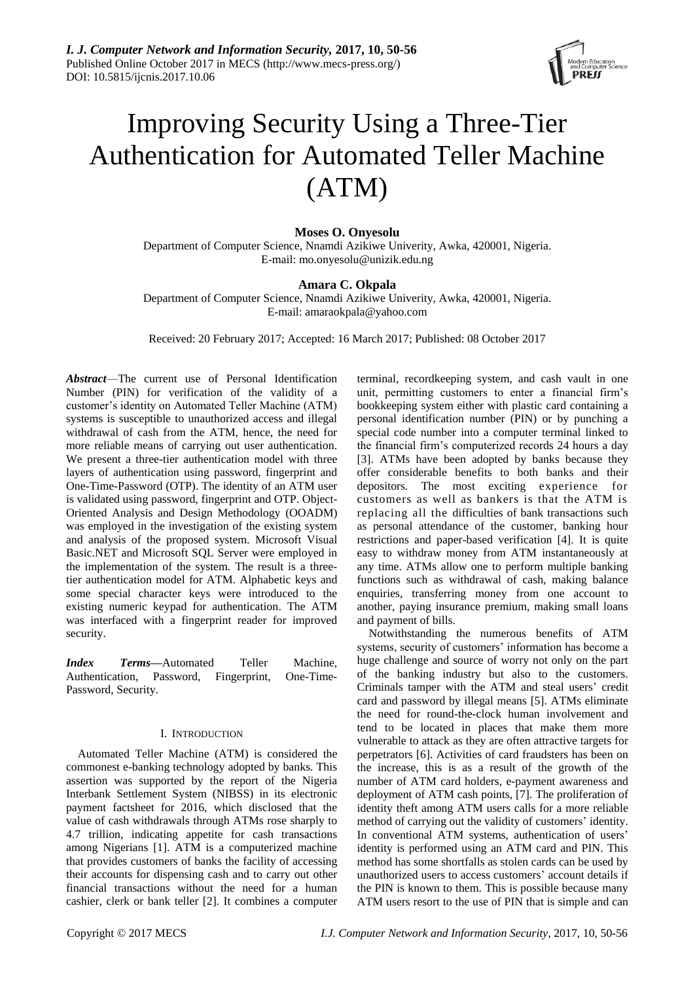

# Improving Security Using a Three-Tier Authentication for Automated Teller Machine (ATM)

# **Moses O. Onyesolu**

Department of Computer Science, Nnamdi Azikiwe Univerity, Awka, 420001, Nigeria. E-mail: mo.onyesolu@unizik.edu.ng

# **Amara C. Okpala**

Department of Computer Science, Nnamdi Azikiwe Univerity, Awka, 420001, Nigeria. E-mail: amaraokpala@yahoo.com

Received: 20 February 2017; Accepted: 16 March 2017; Published: 08 October 2017

*Abstract*—The current use of Personal Identification Number (PIN) for verification of the validity of a customer's identity on Automated Teller Machine (ATM) systems is susceptible to unauthorized access and illegal withdrawal of cash from the ATM, hence, the need for more reliable means of carrying out user authentication. We present a three-tier authentication model with three layers of authentication using password, fingerprint and One-Time-Password (OTP). The identity of an ATM user is validated using password, fingerprint and OTP. Object-Oriented Analysis and Design Methodology (OOADM) was employed in the investigation of the existing system and analysis of the proposed system. Microsoft Visual Basic.NET and Microsoft SQL Server were employed in the implementation of the system. The result is a threetier authentication model for ATM. Alphabetic keys and some special character keys were introduced to the existing numeric keypad for authentication. The ATM was interfaced with a fingerprint reader for improved security.

*Index Terms***—**Automated Teller Machine, Authentication, Password, Fingerprint, One-Time-Password, Security.

# I. INTRODUCTION

Automated Teller Machine (ATM) is considered the commonest e-banking technology adopted by banks. This assertion was supported by the report of the Nigeria Interbank Settlement System (NIBSS) in its electronic payment factsheet for 2016, which disclosed that the value of cash withdrawals through ATMs rose sharply to 4.7 trillion, indicating appetite for cash transactions among Nigerians [1]. ATM is a computerized machine that provides customers of banks the facility of accessing their accounts for dispensing cash and to carry out other financial transactions without the need for a human cashier, clerk or bank teller [2]. It combines a computer terminal, recordkeeping system, and cash vault in one unit, permitting customers to enter a financial firm's bookkeeping system either with plastic card containing a personal identification number (PIN) or by punching a special code number into a computer terminal linked to the financial firm's computerized records 24 hours a day [3]. ATMs have been adopted by banks because they offer considerable benefits to both banks and their depositors. The most exciting experience for customers as well as bankers is that the ATM is replacing all the difficulties of bank transactions such as personal attendance of the customer, banking hour restrictions and paper-based verification [4]. It is quite easy to withdraw money from ATM instantaneously at any time. ATMs allow one to perform multiple banking functions such as withdrawal of cash, making balance enquiries, transferring money from one account to another, paying insurance premium, making small loans and payment of bills.

Notwithstanding the numerous benefits of ATM systems, security of customers' information has become a huge challenge and source of worry not only on the part of the banking industry but also to the customers. Criminals tamper with the ATM and steal users' credit card and password by illegal means [5]. ATMs eliminate the need for round-the-clock human involvement and tend to be located in places that make them more vulnerable to attack as they are often attractive targets for perpetrators [6]. Activities of card fraudsters has been on the increase, this is as a result of the growth of the number of ATM card holders, e-payment awareness and deployment of ATM cash points, [7]. The proliferation of identity theft among ATM users calls for a more reliable method of carrying out the validity of customers' identity. In conventional ATM systems, authentication of users' identity is performed using an ATM card and PIN. This method has some shortfalls as stolen cards can be used by unauthorized users to access customers' account details if the PIN is known to them. This is possible because many ATM users resort to the use of PIN that is simple and can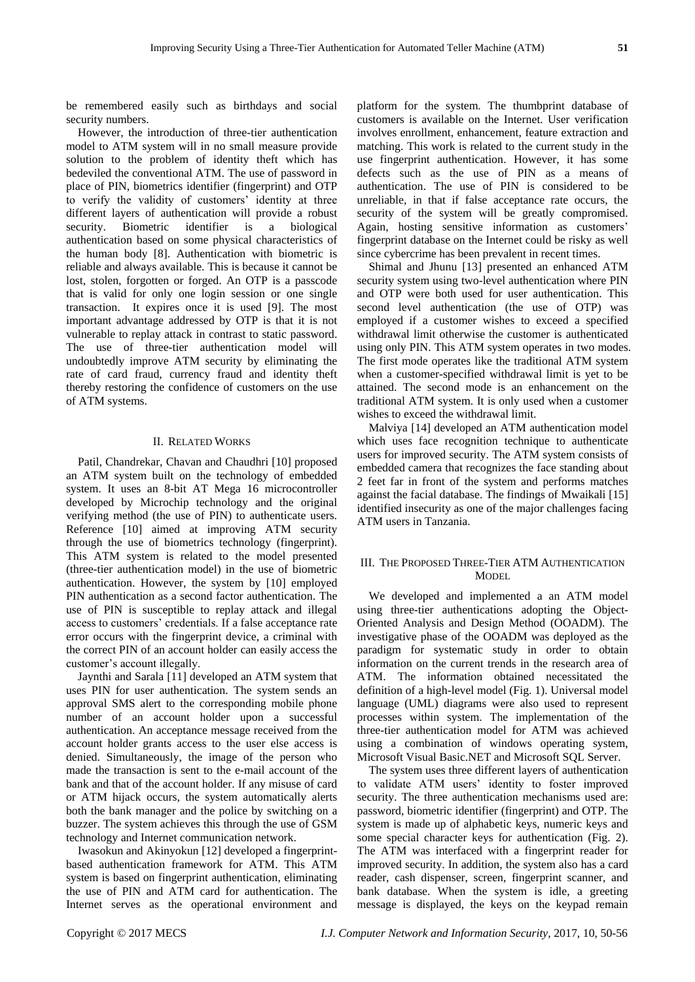be remembered easily such as birthdays and social security numbers.

However, the introduction of three-tier authentication model to ATM system will in no small measure provide solution to the problem of identity theft which has bedeviled the conventional ATM. The use of password in place of PIN, biometrics identifier (fingerprint) and OTP to verify the validity of customers' identity at three different layers of authentication will provide a robust security. Biometric identifier is a biological authentication based on some physical characteristics of the human body [8]. Authentication with biometric is reliable and always available. This is because it cannot be lost, stolen, forgotten or forged. An OTP is a passcode that is valid for only one login session or one single transaction. It expires once it is used [9]. The most important advantage addressed by OTP is that it is not vulnerable to replay attack in contrast to static password. The use of three-tier authentication model will undoubtedly improve ATM security by eliminating the rate of card fraud, currency fraud and identity theft thereby restoring the confidence of customers on the use of ATM systems.

## II. RELATED WORKS

Patil, Chandrekar, Chavan and Chaudhri [10] proposed an ATM system built on the technology of embedded system. It uses an 8-bit AT Mega 16 microcontroller developed by Microchip technology and the original verifying method (the use of PIN) to authenticate users. Reference [10] aimed at improving ATM security through the use of biometrics technology (fingerprint). This ATM system is related to the model presented (three-tier authentication model) in the use of biometric authentication. However, the system by [10] employed PIN authentication as a second factor authentication. The use of PIN is susceptible to replay attack and illegal access to customers' credentials. If a false acceptance rate error occurs with the fingerprint device, a criminal with the correct PIN of an account holder can easily access the customer's account illegally.

Jaynthi and Sarala [11] developed an ATM system that uses PIN for user authentication. The system sends an approval SMS alert to the corresponding mobile phone number of an account holder upon a successful authentication. An acceptance message received from the account holder grants access to the user else access is denied. Simultaneously, the image of the person who made the transaction is sent to the e-mail account of the bank and that of the account holder. If any misuse of card or ATM hijack occurs, the system automatically alerts both the bank manager and the police by switching on a buzzer. The system achieves this through the use of GSM technology and Internet communication network.

Iwasokun and Akinyokun [12] developed a fingerprintbased authentication framework for ATM. This ATM system is based on fingerprint authentication, eliminating the use of PIN and ATM card for authentication. The Internet serves as the operational environment and platform for the system. The thumbprint database of customers is available on the Internet. User verification involves enrollment, enhancement, feature extraction and matching. This work is related to the current study in the use fingerprint authentication. However, it has some defects such as the use of PIN as a means of authentication. The use of PIN is considered to be unreliable, in that if false acceptance rate occurs, the security of the system will be greatly compromised. Again, hosting sensitive information as customers' fingerprint database on the Internet could be risky as well since cybercrime has been prevalent in recent times.

Shimal and Jhunu [13] presented an enhanced ATM security system using two-level authentication where PIN and OTP were both used for user authentication. This second level authentication (the use of OTP) was employed if a customer wishes to exceed a specified withdrawal limit otherwise the customer is authenticated using only PIN. This ATM system operates in two modes. The first mode operates like the traditional ATM system when a customer-specified withdrawal limit is yet to be attained. The second mode is an enhancement on the traditional ATM system. It is only used when a customer wishes to exceed the withdrawal limit.

Malviya [14] developed an ATM authentication model which uses face recognition technique to authenticate users for improved security. The ATM system consists of embedded camera that recognizes the face standing about 2 feet far in front of the system and performs matches against the facial database. The findings of Mwaikali [15] identified insecurity as one of the major challenges facing ATM users in Tanzania.

# III. THE PROPOSED THREE-TIER ATM AUTHENTICATION **MODEL**

We developed and implemented a an ATM model using three-tier authentications adopting the Object-Oriented Analysis and Design Method (OOADM). The investigative phase of the OOADM was deployed as the paradigm for systematic study in order to obtain information on the current trends in the research area of ATM. The information obtained necessitated the definition of a high-level model (Fig. 1). Universal model language (UML) diagrams were also used to represent processes within system. The implementation of the three-tier authentication model for ATM was achieved using a combination of windows operating system, Microsoft Visual Basic.NET and Microsoft SQL Server.

The system uses three different layers of authentication to validate ATM users' identity to foster improved security. The three authentication mechanisms used are: password, biometric identifier (fingerprint) and OTP. The system is made up of alphabetic keys, numeric keys and some special character keys for authentication (Fig. 2). The ATM was interfaced with a fingerprint reader for improved security. In addition, the system also has a card reader, cash dispenser, screen, fingerprint scanner, and bank database. When the system is idle, a greeting message is displayed, the keys on the keypad remain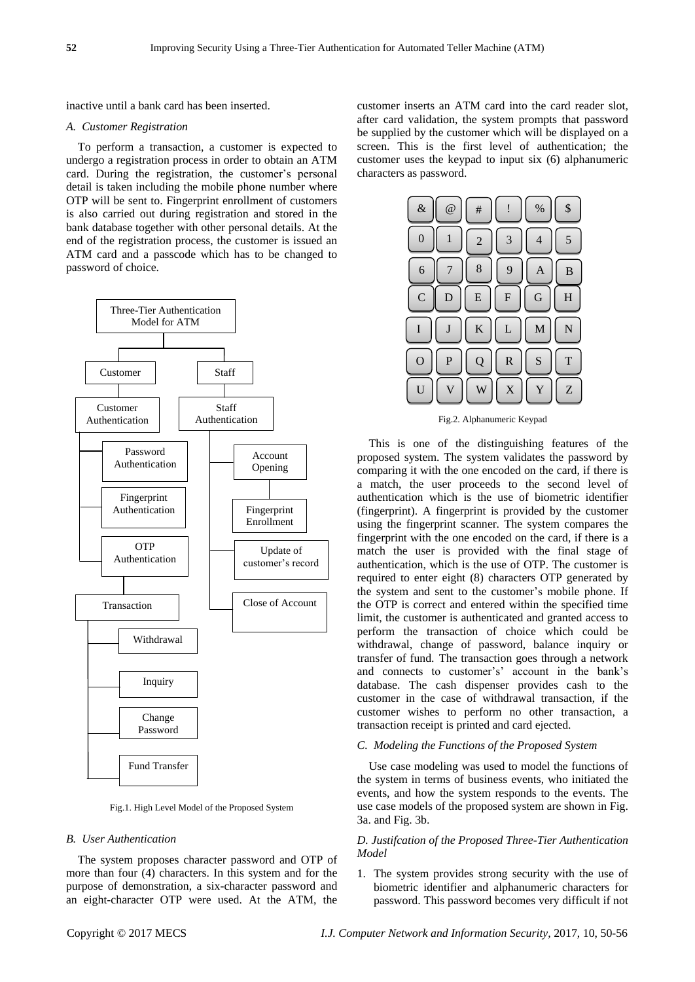inactive until a bank card has been inserted.

## *A. Customer Registration*

To perform a transaction, a customer is expected to undergo a registration process in order to obtain an ATM card. During the registration, the customer's personal detail is taken including the mobile phone number where OTP will be sent to. Fingerprint enrollment of customers is also carried out during registration and stored in the bank database together with other personal details. At the end of the registration process, the customer is issued an ATM card and a passcode which has to be changed to password of choice.



Fig.1. High Level Model of the Proposed System

# *B. User Authentication*

The system proposes character password and OTP of more than four (4) characters. In this system and for the purpose of demonstration, a six-character password and an eight-character OTP were used. At the ATM, the customer inserts an ATM card into the card reader slot, after card validation, the system prompts that password be supplied by the customer which will be displayed on a screen. This is the first level of authentication; the customer uses the keypad to input six (6) alphanumeric characters as password.



Fig.2. Alphanumeric Keypad

This is one of the distinguishing features of the proposed system. The system validates the password by comparing it with the one encoded on the card, if there is a match, the user proceeds to the second level of authentication which is the use of biometric identifier (fingerprint). A fingerprint is provided by the customer using the fingerprint scanner. The system compares the fingerprint with the one encoded on the card, if there is a match the user is provided with the final stage of authentication, which is the use of OTP. The customer is required to enter eight (8) characters OTP generated by the system and sent to the customer's mobile phone. If the OTP is correct and entered within the specified time limit, the customer is authenticated and granted access to perform the transaction of choice which could be withdrawal, change of password, balance inquiry or transfer of fund. The transaction goes through a network and connects to customer's' account in the bank's database. The cash dispenser provides cash to the customer in the case of withdrawal transaction, if the customer wishes to perform no other transaction, a transaction receipt is printed and card ejected.

# *C. Modeling the Functions of the Proposed System*

Use case modeling was used to model the functions of the system in terms of business events, who initiated the events, and how the system responds to the events. The use case models of the proposed system are shown in Fig. 3a. and Fig. 3b.

# *D. Justifcation of the Proposed Three-Tier Authentication Model*

1. The system provides strong security with the use of biometric identifier and alphanumeric characters for password. This password becomes very difficult if not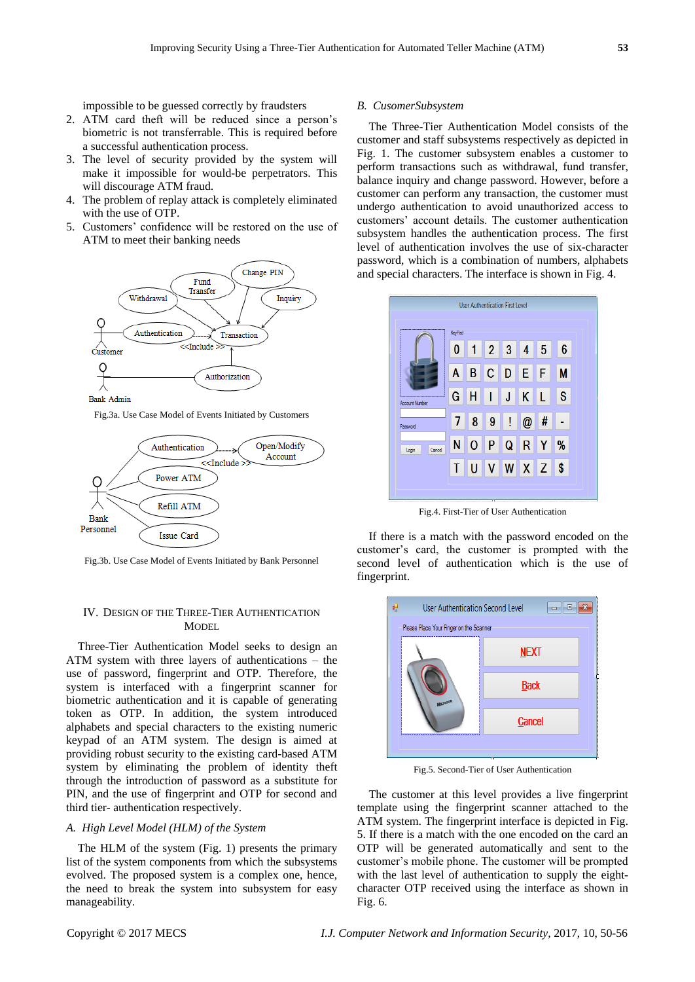impossible to be guessed correctly by fraudsters

- 2. ATM card theft will be reduced since a person's biometric is not transferrable. This is required before a successful authentication process.
- 3. The level of security provided by the system will make it impossible for would-be perpetrators. This will discourage ATM fraud.
- 4. The problem of replay attack is completely eliminated with the use of OTP.
- 5. Customers' confidence will be restored on the use of ATM to meet their banking needs



Fig.3a. Use Case Model of Events Initiated by Customers



Fig.3b. Use Case Model of Events Initiated by Bank Personnel

# IV. DESIGN OF THE THREE-TIER AUTHENTICATION **MODEL**

Three-Tier Authentication Model seeks to design an ATM system with three layers of authentications – the use of password, fingerprint and OTP. Therefore, the system is interfaced with a fingerprint scanner for biometric authentication and it is capable of generating token as OTP. In addition, the system introduced alphabets and special characters to the existing numeric keypad of an ATM system. The design is aimed at providing robust security to the existing card-based ATM system by eliminating the problem of identity theft through the introduction of password as a substitute for PIN, and the use of fingerprint and OTP for second and third tier- authentication respectively.

# *A. High Level Model (HLM) of the System*

The HLM of the system (Fig. 1) presents the primary list of the system components from which the subsystems evolved. The proposed system is a complex one, hence, the need to break the system into subsystem for easy manageability.

#### *B. CusomerSubsystem*

The Three-Tier Authentication Model consists of the customer and staff subsystems respectively as depicted in Fig. 1. The customer subsystem enables a customer to perform transactions such as withdrawal, fund transfer, balance inquiry and change password. However, before a customer can perform any transaction, the customer must undergo authentication to avoid unauthorized access to customers' account details. The customer authentication subsystem handles the authentication process. The first level of authentication involves the use of six-character password, which is a combination of numbers, alphabets and special characters. The interface is shown in Fig. 4.



Fig.4. First-Tier of User Authentication

If there is a match with the password encoded on the customer's card, the customer is prompted with the second level of authentication which is the use of fingerprint.



Fig.5. Second-Tier of User Authentication

The customer at this level provides a live fingerprint template using the fingerprint scanner attached to the ATM system. The fingerprint interface is depicted in Fig. 5. If there is a match with the one encoded on the card an OTP will be generated automatically and sent to the customer's mobile phone. The customer will be prompted with the last level of authentication to supply the eightcharacter OTP received using the interface as shown in Fig. 6.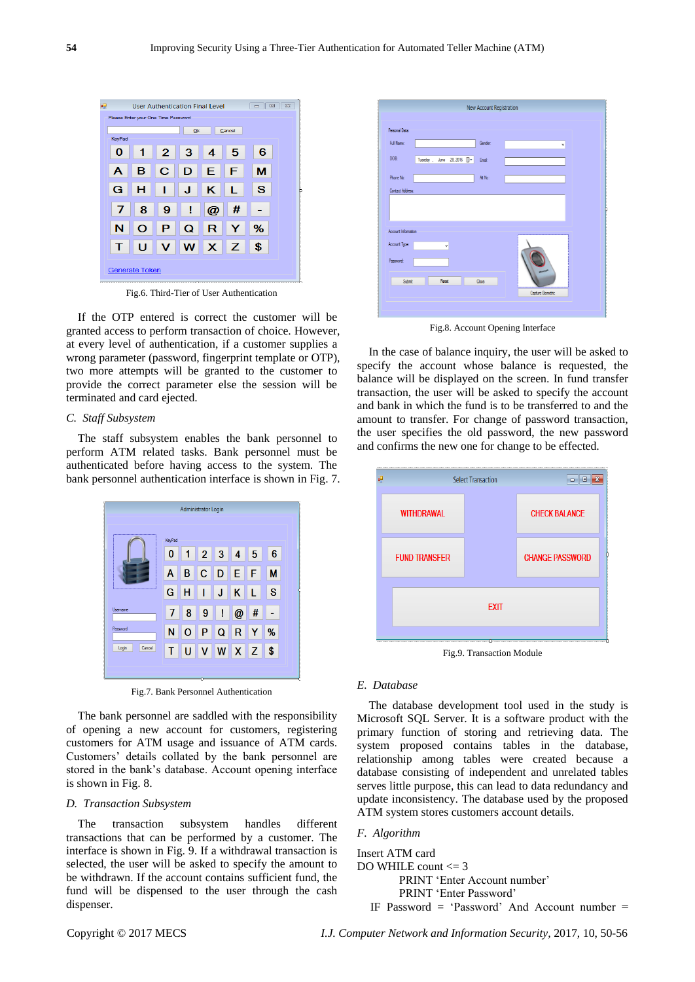

Fig.6. Third-Tier of User Authentication

If the OTP entered is correct the customer will be granted access to perform transaction of choice. However, at every level of authentication, if a customer supplies a wrong parameter (password, fingerprint template or OTP), two more attempts will be granted to the customer to provide the correct parameter else the session will be terminated and card ejected.

## *C. Staff Subsystem*

The staff subsystem enables the bank personnel to perform ATM related tasks. Bank personnel must be authenticated before having access to the system. The bank personnel authentication interface is shown in Fig. 7.

|                 |        | <b>Administrator Login</b> |                |                 |                |     |              |  |
|-----------------|--------|----------------------------|----------------|-----------------|----------------|-----|--------------|--|
|                 | KeyPad |                            |                |                 |                |     |              |  |
|                 | 0      | -1                         | $\overline{2}$ | $\overline{3}$  | $\overline{4}$ | -5  | 6            |  |
|                 | A      | B                          | $\overline{C}$ | $\vert D \vert$ | E.             | l F | M            |  |
|                 | G      | н                          | ı              | J.              | K              | L   | <sub>S</sub> |  |
| Usemame         | 7      | 8                          | -9             | I               | $\omega$       | #   |              |  |
| Password        | N      | $\Omega$                   | <b>P</b>       | $\mathbf Q$     | R              |     | %            |  |
| Cancel<br>Login | Т      | п                          | v              | W               | $X$ $Z$        |     | ∣\$          |  |
|                 |        |                            |                |                 |                |     |              |  |

Fig.7. Bank Personnel Authentication

The bank personnel are saddled with the responsibility of opening a new account for customers, registering customers for ATM usage and issuance of ATM cards. Customers' details collated by the bank personnel are stored in the bank's database. Account opening interface is shown in Fig. 8.

## *D. Transaction Subsystem*

The transaction subsystem handles different transactions that can be performed by a customer. The interface is shown in Fig. 9. If a withdrawal transaction is selected, the user will be asked to specify the amount to be withdrawn. If the account contains sufficient fund, the fund will be dispensed to the user through the cash dispenser.



Fig.8. Account Opening Interface

In the case of balance inquiry, the user will be asked to specify the account whose balance is requested, the balance will be displayed on the screen. In fund transfer transaction, the user will be asked to specify the account and bank in which the fund is to be transferred to and the amount to transfer. For change of password transaction, the user specifies the old password, the new password and confirms the new one for change to be effected.



Fig.9. Transaction Module

# *E. Database*

The database development tool used in the study is Microsoft SQL Server. It is a software product with the primary function of storing and retrieving data. The system proposed contains tables in the database, relationship among tables were created because a database consisting of independent and unrelated tables serves little purpose, this can lead to data redundancy and update inconsistency. The database used by the proposed ATM system stores customers account details.

## *F. Algorithm*

Insert ATM card DO WHILE count <= 3 PRINT 'Enter Account number' PRINT 'Enter Password' IF Password = 'Password' And Account number =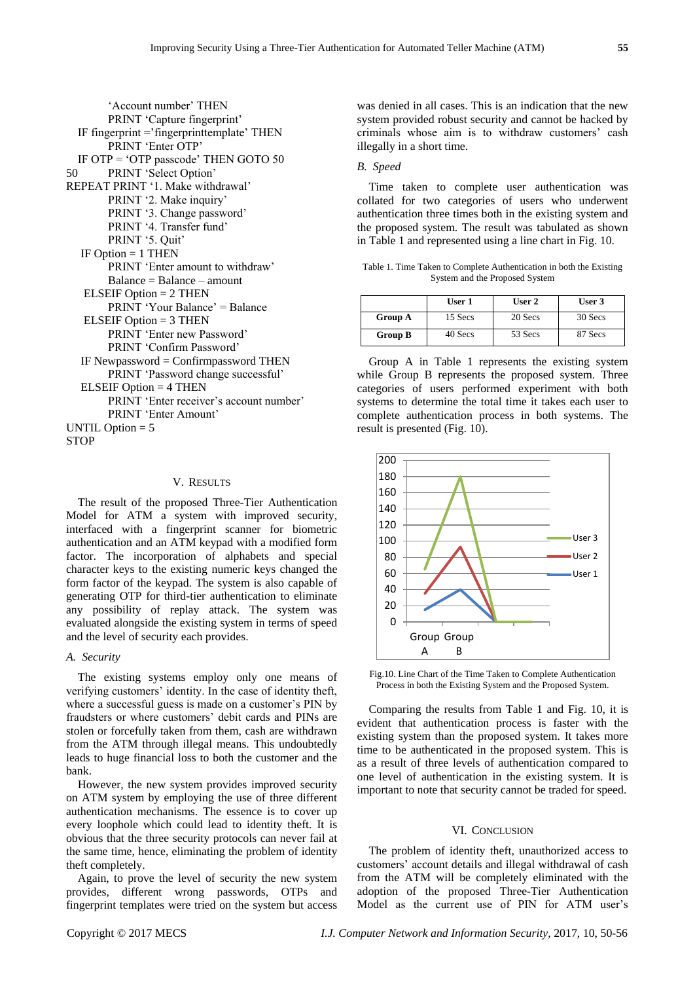'Account number' THEN PRINT 'Capture fingerprint' IF fingerprint ='fingerprinttemplate' THEN PRINT 'Enter OTP' IF OTP = 'OTP passcode' THEN GOTO 50 50 PRINT 'Select Option' REPEAT PRINT '1. Make withdrawal' PRINT '2. Make inquiry' PRINT '3. Change password' PRINT '4. Transfer fund' PRINT '5. Quit' IF Option  $= 1$  THEN PRINT 'Enter amount to withdraw' Balance = Balance – amount ELSEIF Option = 2 THEN PRINT 'Your Balance' = Balance ELSEIF Option = 3 THEN PRINT 'Enter new Password' PRINT 'Confirm Password' IF Newpassword  $=$  Confirmpassword THEN PRINT 'Password change successful' ELSEIF Option = 4 THEN PRINT 'Enter receiver's account number' PRINT 'Enter Amount' UNTIL Option  $= 5$ **STOP** 

## V. RESULTS

The result of the proposed Three-Tier Authentication Model for ATM a system with improved security, interfaced with a fingerprint scanner for biometric authentication and an ATM keypad with a modified form factor. The incorporation of alphabets and special character keys to the existing numeric keys changed the form factor of the keypad. The system is also capable of generating OTP for third-tier authentication to eliminate any possibility of replay attack. The system was evaluated alongside the existing system in terms of speed and the level of security each provides.

# *A. Security*

The existing systems employ only one means of verifying customers' identity. In the case of identity theft, where a successful guess is made on a customer's PIN by fraudsters or where customers' debit cards and PINs are stolen or forcefully taken from them, cash are withdrawn from the ATM through illegal means. This undoubtedly leads to huge financial loss to both the customer and the bank.

However, the new system provides improved security on ATM system by employing the use of three different authentication mechanisms. The essence is to cover up every loophole which could lead to identity theft. It is obvious that the three security protocols can never fail at the same time, hence, eliminating the problem of identity theft completely.

Again, to prove the level of security the new system provides, different wrong passwords, OTPs and fingerprint templates were tried on the system but access

was denied in all cases. This is an indication that the new system provided robust security and cannot be hacked by criminals whose aim is to withdraw customers' cash illegally in a short time.

#### *B. Speed*

Time taken to complete user authentication was collated for two categories of users who underwent authentication three times both in the existing system and the proposed system. The result was tabulated as shown in Table 1 and represented using a line chart in Fig. 10.

Table 1. Time Taken to Complete Authentication in both the Existing System and the Proposed System

|                | User 1  | User 2  | User 3  |
|----------------|---------|---------|---------|
| <b>Group A</b> | 15 Secs | 20 Secs | 30 Secs |
| Group B        | 40 Secs | 53 Secs | 87 Secs |

Group A in Table 1 represents the existing system while Group B represents the proposed system. Three categories of users performed experiment with both systems to determine the total time it takes each user to complete authentication process in both systems. The result is presented (Fig. 10).



Fig.10. Line Chart of the Time Taken to Complete Authentication Process in both the Existing System and the Proposed System.

Comparing the results from Table 1 and Fig. 10, it is evident that authentication process is faster with the existing system than the proposed system. It takes more time to be authenticated in the proposed system. This is as a result of three levels of authentication compared to one level of authentication in the existing system. It is important to note that security cannot be traded for speed.

#### VI. CONCLUSION

The problem of identity theft, unauthorized access to customers' account details and illegal withdrawal of cash from the ATM will be completely eliminated with the adoption of the proposed Three-Tier Authentication Model as the current use of PIN for ATM user's